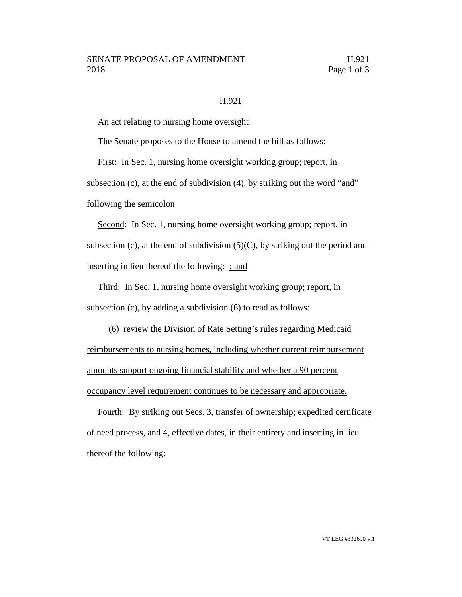## H.921

An act relating to nursing home oversight

The Senate proposes to the House to amend the bill as follows:

First: In Sec. 1, nursing home oversight working group; report, in

subsection (c), at the end of subdivision (4), by striking out the word "and"

following the semicolon

Second: In Sec. 1, nursing home oversight working group; report, in subsection (c), at the end of subdivision  $(5)(C)$ , by striking out the period and inserting in lieu thereof the following: ; and

Third: In Sec. 1, nursing home oversight working group; report, in subsection (c), by adding a subdivision (6) to read as follows:

(6) review the Division of Rate Setting's rules regarding Medicaid reimbursements to nursing homes, including whether current reimbursement amounts support ongoing financial stability and whether a 90 percent occupancy level requirement continues to be necessary and appropriate.

Fourth: By striking out Secs. 3, transfer of ownership; expedited certificate of need process, and 4, effective dates, in their entirety and inserting in lieu thereof the following: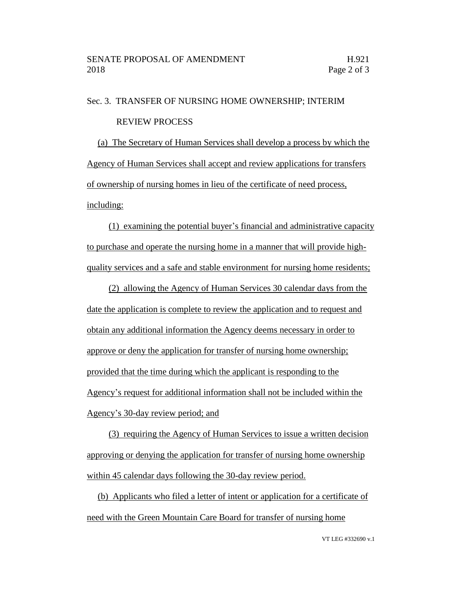## Sec. 3. TRANSFER OF NURSING HOME OWNERSHIP; INTERIM REVIEW PROCESS

(a) The Secretary of Human Services shall develop a process by which the Agency of Human Services shall accept and review applications for transfers of ownership of nursing homes in lieu of the certificate of need process, including:

(1) examining the potential buyer's financial and administrative capacity to purchase and operate the nursing home in a manner that will provide highquality services and a safe and stable environment for nursing home residents;

(2) allowing the Agency of Human Services 30 calendar days from the date the application is complete to review the application and to request and obtain any additional information the Agency deems necessary in order to approve or deny the application for transfer of nursing home ownership; provided that the time during which the applicant is responding to the Agency's request for additional information shall not be included within the Agency's 30-day review period; and

(3) requiring the Agency of Human Services to issue a written decision approving or denying the application for transfer of nursing home ownership within 45 calendar days following the 30-day review period.

(b) Applicants who filed a letter of intent or application for a certificate of need with the Green Mountain Care Board for transfer of nursing home